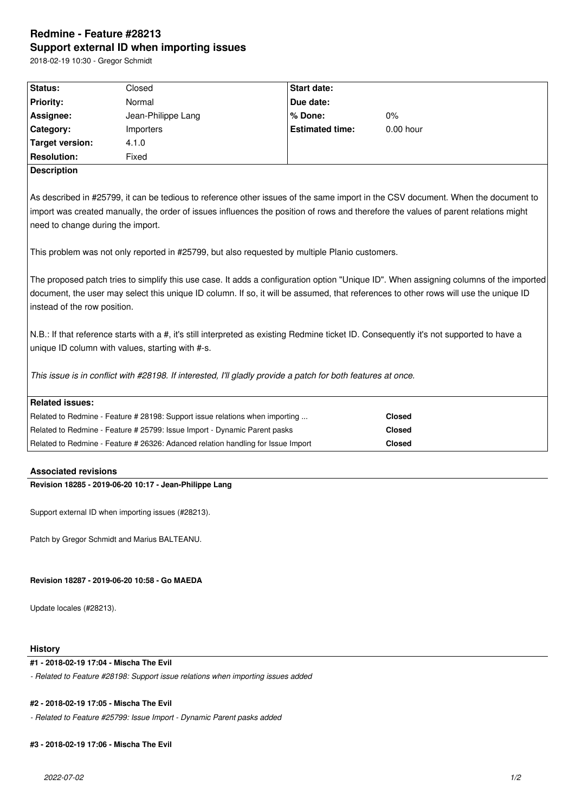# **Redmine - Feature #28213 Support external ID when importing issues**

2018-02-19 10:30 - Gregor Schmidt

| Status:                                                                                                                                                                                                                                                                                                        | Closed                                                                           | Start date:            |               |  |  |
|----------------------------------------------------------------------------------------------------------------------------------------------------------------------------------------------------------------------------------------------------------------------------------------------------------------|----------------------------------------------------------------------------------|------------------------|---------------|--|--|
| <b>Priority:</b>                                                                                                                                                                                                                                                                                               | Normal                                                                           | Due date:              |               |  |  |
| Assignee:                                                                                                                                                                                                                                                                                                      | Jean-Philippe Lang                                                               | % Done:                | 0%            |  |  |
| Category:                                                                                                                                                                                                                                                                                                      | Importers                                                                        | <b>Estimated time:</b> | $0.00$ hour   |  |  |
| <b>Target version:</b>                                                                                                                                                                                                                                                                                         | 4.1.0                                                                            |                        |               |  |  |
| <b>Resolution:</b>                                                                                                                                                                                                                                                                                             | Fixed                                                                            |                        |               |  |  |
| <b>Description</b>                                                                                                                                                                                                                                                                                             |                                                                                  |                        |               |  |  |
|                                                                                                                                                                                                                                                                                                                |                                                                                  |                        |               |  |  |
| As described in #25799, it can be tedious to reference other issues of the same import in the CSV document. When the document to<br>import was created manually, the order of issues influences the position of rows and therefore the values of parent relations might<br>need to change during the import.   |                                                                                  |                        |               |  |  |
| This problem was not only reported in #25799, but also requested by multiple Planio customers.                                                                                                                                                                                                                 |                                                                                  |                        |               |  |  |
| The proposed patch tries to simplify this use case. It adds a configuration option "Unique ID". When assigning columns of the imported<br>document, the user may select this unique ID column. If so, it will be assumed, that references to other rows will use the unique ID<br>instead of the row position. |                                                                                  |                        |               |  |  |
| N.B.: If that reference starts with a #, it's still interpreted as existing Redmine ticket ID. Consequently it's not supported to have a<br>unique ID column with values, starting with #-s.                                                                                                                   |                                                                                  |                        |               |  |  |
| This issue is in conflict with #28198. If interested, I'll gladly provide a patch for both features at once.                                                                                                                                                                                                   |                                                                                  |                        |               |  |  |
| <b>Related issues:</b>                                                                                                                                                                                                                                                                                         |                                                                                  |                        |               |  |  |
|                                                                                                                                                                                                                                                                                                                | Related to Redmine - Feature # 28198: Support issue relations when importing     |                        | <b>Closed</b> |  |  |
|                                                                                                                                                                                                                                                                                                                | Related to Redmine - Feature # 25799: Issue Import - Dynamic Parent pasks        |                        | <b>Closed</b> |  |  |
|                                                                                                                                                                                                                                                                                                                | Related to Redmine - Feature # 26326: Adanced relation handling for Issue Import |                        | <b>Closed</b> |  |  |
|                                                                                                                                                                                                                                                                                                                |                                                                                  |                        |               |  |  |

# **Associated revisions**

**Revision 18285 - 2019-06-20 10:17 - Jean-Philippe Lang**

Support external ID when importing issues (#28213).

Patch by Gregor Schmidt and Marius BALTEANU.

**Revision 18287 - 2019-06-20 10:58 - Go MAEDA**

Update locales (#28213).

# **History**

# **#1 - 2018-02-19 17:04 - Mischa The Evil**

*- Related to Feature #28198: Support issue relations when importing issues added*

# **#2 - 2018-02-19 17:05 - Mischa The Evil**

*- Related to Feature #25799: Issue Import - Dynamic Parent pasks added*

# **#3 - 2018-02-19 17:06 - Mischa The Evil**